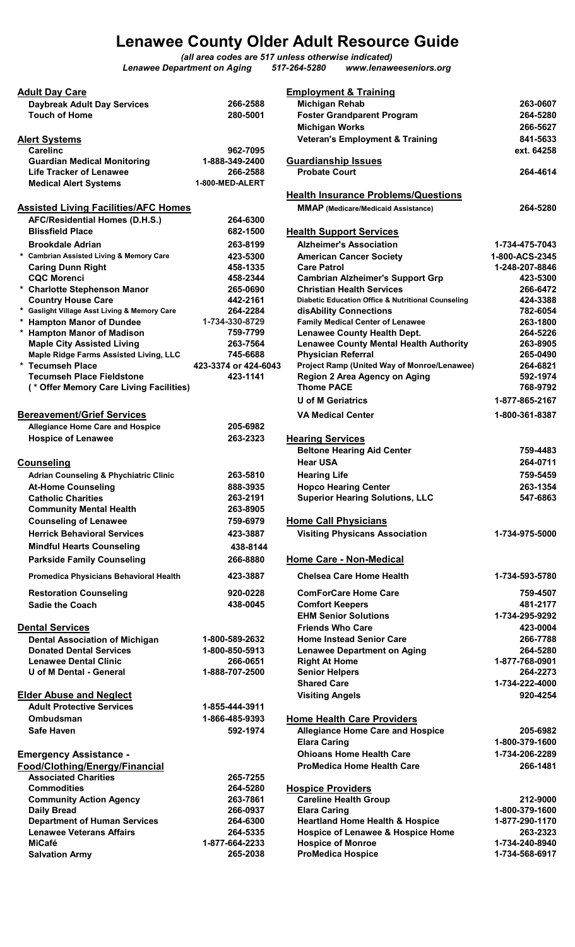## Lenawee County Older Adult Resource Guide

(all area codes are 517 unless otherwise indicated) Lenawee Department on Aging 517-264-5280 www.lenaweeseniors.org

| <b>Adult Day Care</b>                                                |                                  | <b>Employment &amp; Training</b>                                                           |                                  |
|----------------------------------------------------------------------|----------------------------------|--------------------------------------------------------------------------------------------|----------------------------------|
| <b>Daybreak Adult Day Services</b>                                   | 266-2588                         | <b>Michigan Rehab</b>                                                                      | 263-0607                         |
| <b>Touch of Home</b>                                                 | 280-5001                         | <b>Foster Grandparent Program</b>                                                          | 264-5280                         |
|                                                                      |                                  | <b>Michigan Works</b>                                                                      | 266-5627                         |
| <b>Alert Systems</b>                                                 |                                  | <b>Veteran's Employment &amp; Training</b>                                                 | 841-5633                         |
| <b>Carelinc</b>                                                      | 962-7095                         |                                                                                            | ext. 64258                       |
| <b>Guardian Medical Monitoring</b>                                   | 1-888-349-2400                   | <b>Guardianship Issues</b>                                                                 |                                  |
| <b>Life Tracker of Lenawee</b>                                       | 266-2588                         | <b>Probate Court</b>                                                                       | 264-4614                         |
| <b>Medical Alert Systems</b>                                         | 1-800-MED-ALERT                  |                                                                                            |                                  |
|                                                                      |                                  | <b>Health Insurance Problems/Questions</b>                                                 |                                  |
| <b>Assisted Living Facilities/AFC Homes</b>                          |                                  | <b>MMAP</b> (Medicare/Medicaid Assistance)                                                 | 264-5280                         |
| AFC/Residential Homes (D.H.S.)                                       | 264-6300                         |                                                                                            |                                  |
| <b>Blissfield Place</b>                                              | 682-1500                         | <b>Health Support Services</b>                                                             |                                  |
| <b>Brookdale Adrian</b>                                              | 263-8199                         | <b>Alzheimer's Association</b>                                                             | 1-734-475-7043                   |
| * Cambrian Assisted Living & Memory Care<br><b>Caring Dunn Right</b> | 423-5300<br>458-1335             | <b>American Cancer Society</b><br><b>Care Patrol</b>                                       | 1-800-ACS-2345<br>1-248-207-8846 |
| <b>CQC Morenci</b>                                                   | 458-2344                         | <b>Cambrian Alzheimer's Support Grp</b>                                                    | 423-5300                         |
| * Charlotte Stephenson Manor                                         | 265-0690                         | <b>Christian Health Services</b>                                                           | 266-6472                         |
| <b>Country House Care</b>                                            | 442-2161                         | Diabetic Education Office & Nutritional Counseling                                         | 424-3388                         |
| * Gaslight Village Asst Living & Memory Care                         | 264-2284                         | disAbility Connections                                                                     | 782-6054                         |
| * Hampton Manor of Dundee                                            | 1-734-330-8729                   | <b>Family Medical Center of Lenawee</b>                                                    | 263-1800                         |
| * Hampton Manor of Madison                                           | 759-7799                         | <b>Lenawee County Health Dept.</b>                                                         | 264-5226                         |
| <b>Maple City Assisted Living</b>                                    | 263-7564                         | <b>Lenawee County Mental Health Authority</b>                                              | 263-8905                         |
| Maple Ridge Farms Assisted Living, LLC<br>* Tecumseh Place           | 745-6688<br>423-3374 or 424-6043 | <b>Physician Referral</b><br>Project Ramp (United Way of Monroe/Lenawee)                   | 265-0490<br>264-6821             |
| <b>Tecumseh Place Fieldstone</b>                                     | 423-1141                         | Region 2 Area Agency on Aging                                                              | 592-1974                         |
| (* Offer Memory Care Living Facilities)                              |                                  | <b>Thome PACE</b>                                                                          | 768-9792                         |
|                                                                      |                                  | U of M Geriatrics                                                                          | 1-877-865-2167                   |
| <b>Bereavement/Grief Services</b>                                    |                                  | <b>VA Medical Center</b>                                                                   | 1-800-361-8387                   |
| <b>Allegiance Home Care and Hospice</b>                              | 205-6982                         |                                                                                            |                                  |
| <b>Hospice of Lenawee</b>                                            | 263-2323                         | <b>Hearing Services</b>                                                                    |                                  |
|                                                                      |                                  | <b>Beltone Hearing Aid Center</b>                                                          | 759-4483                         |
| <b>Counseling</b>                                                    |                                  | <b>Hear USA</b>                                                                            | 264-0711                         |
| <b>Adrian Counseling &amp; Phychiatric Clinic</b>                    | 263-5810                         | <b>Hearing Life</b>                                                                        | 759-5459                         |
| <b>At-Home Counseling</b>                                            | 888-3935                         | <b>Hopco Hearing Center</b>                                                                | 263-1354                         |
| <b>Catholic Charities</b>                                            | 263-2191                         | <b>Superior Hearing Solutions, LLC</b>                                                     | 547-6863                         |
| <b>Community Mental Health</b>                                       | 263-8905                         |                                                                                            |                                  |
| <b>Counseling of Lenawee</b>                                         | 759-6979                         | <b>Home Call Physicians</b>                                                                |                                  |
| <b>Herrick Behavioral Services</b>                                   | 423-3887                         | <b>Visiting Physicans Association</b>                                                      | 1-734-975-5000                   |
| <b>Mindful Hearts Counseling</b>                                     | 438-8144                         |                                                                                            |                                  |
| <b>Parkside Family Counseling</b>                                    | 266-8880                         | <b>Home Care - Non-Medical</b>                                                             |                                  |
|                                                                      | 423-3887                         | <b>Chelsea Care Home Health</b>                                                            | 1-734-593-5780                   |
| Promedica Physicians Behavioral Health                               |                                  |                                                                                            |                                  |
| <b>Restoration Counseling</b>                                        | 920-0228                         | <b>ComForCare Home Care</b>                                                                | 759-4507                         |
| <b>Sadie the Coach</b>                                               | 438-0045                         | <b>Comfort Keepers</b>                                                                     | 481-2177                         |
|                                                                      |                                  | <b>EHM Senior Solutions</b>                                                                | 1-734-295-9292                   |
| <b>Dental Services</b>                                               |                                  | <b>Friends Who Care</b>                                                                    | 423-0004                         |
| <b>Dental Association of Michigan</b>                                | 1-800-589-2632                   | <b>Home Instead Senior Care</b>                                                            | 266-7788                         |
| <b>Donated Dental Services</b><br><b>Lenawee Dental Clinic</b>       | 1-800-850-5913<br>266-0651       | <b>Lenawee Department on Aging</b><br><b>Right At Home</b>                                 | 264-5280<br>1-877-768-0901       |
| <b>U</b> of M Dental - General                                       | 1-888-707-2500                   | <b>Senior Helpers</b>                                                                      | 264-2273                         |
|                                                                      |                                  | <b>Shared Care</b>                                                                         | 1-734-222-4000                   |
| <b>Elder Abuse and Neglect</b>                                       |                                  | <b>Visiting Angels</b>                                                                     | 920-4254                         |
| <b>Adult Protective Services</b>                                     | 1-855-444-3911                   |                                                                                            |                                  |
| Ombudsman                                                            | 1-866-485-9393                   | <b>Home Health Care Providers</b>                                                          |                                  |
| <b>Safe Haven</b>                                                    | 592-1974                         | <b>Allegiance Home Care and Hospice</b>                                                    | 205-6982                         |
|                                                                      |                                  | <b>Elara Caring</b>                                                                        | 1-800-379-1600                   |
| <b>Emergency Assistance -</b>                                        |                                  | <b>Ohioans Home Health Care</b>                                                            | 1-734-206-2289                   |
| Food/Clothing/Energy/Financial                                       |                                  | <b>ProMedica Home Health Care</b>                                                          | 266-1481                         |
| <b>Associated Charities</b>                                          | 265-7255                         |                                                                                            |                                  |
| <b>Commodities</b>                                                   | 264-5280                         | <b>Hospice Providers</b>                                                                   |                                  |
| <b>Community Action Agency</b>                                       | 263-7861                         | <b>Careline Health Group</b>                                                               | 212-9000                         |
| <b>Daily Bread</b>                                                   | 266-0937                         | <b>Elara Caring</b>                                                                        | 1-800-379-1600                   |
| <b>Department of Human Services</b>                                  | 264-6300                         | <b>Heartland Home Health &amp; Hospice</b><br><b>Hospice of Lenawee &amp; Hospice Home</b> | 1-877-290-1170<br>263-2323       |
| <b>Lenawee Veterans Affairs</b><br><b>MiCafé</b>                     | 264-5335<br>1-877-664-2233       | <b>Hospice of Monroe</b>                                                                   | 1-734-240-8940                   |
| <b>Salvation Army</b>                                                | 265-2038                         | <b>ProMedica Hospice</b>                                                                   | 1-734-568-6917                   |
|                                                                      |                                  |                                                                                            |                                  |

| <b>Adult Day Care</b>                             |                      | <b>Employment &amp; Training</b>                              |                |
|---------------------------------------------------|----------------------|---------------------------------------------------------------|----------------|
| <b>Daybreak Adult Day Services</b>                | 266-2588             | <b>Michigan Rehab</b>                                         | 263-0607       |
| <b>Touch of Home</b>                              | 280-5001             | <b>Foster Grandparent Program</b>                             | 264-5280       |
|                                                   |                      | <b>Michigan Works</b>                                         | 266-5627       |
| <b>Alert Systems</b>                              |                      | <b>Veteran's Employment &amp; Training</b>                    | 841-5633       |
| <b>Carelinc</b>                                   | 962-7095             |                                                               | ext. 64258     |
| <b>Guardian Medical Monitoring</b>                | 1-888-349-2400       | <b>Guardianship Issues</b>                                    |                |
| <b>Life Tracker of Lenawee</b>                    | 266-2588             | <b>Probate Court</b>                                          | 264-4614       |
| <b>Medical Alert Systems</b>                      | 1-800-MED-ALERT      |                                                               |                |
|                                                   |                      | <b>Health Insurance Problems/Questions</b>                    |                |
|                                                   |                      |                                                               | 264-5280       |
| <b>Assisted Living Facilities/AFC Homes</b>       |                      | <b>MMAP</b> (Medicare/Medicaid Assistance)                    |                |
| AFC/Residential Homes (D.H.S.)                    | 264-6300             |                                                               |                |
| <b>Blissfield Place</b>                           | 682-1500             | <b>Health Support Services</b>                                |                |
| <b>Brookdale Adrian</b>                           | 263-8199             | <b>Alzheimer's Association</b>                                | 1-734-475-7043 |
| * Cambrian Assisted Living & Memory Care          | 423-5300             | <b>American Cancer Society</b>                                | 1-800-ACS-2345 |
| <b>Caring Dunn Right</b>                          | 458-1335             | <b>Care Patrol</b>                                            | 1-248-207-8846 |
| <b>CQC Morenci</b>                                | 458-2344             | <b>Cambrian Alzheimer's Support Grp</b>                       | 423-5300       |
| * Charlotte Stephenson Manor                      | 265-0690             | <b>Christian Health Services</b>                              | 266-6472       |
| <b>Country House Care</b>                         | 442-2161             | <b>Diabetic Education Office &amp; Nutritional Counseling</b> | 424-3388       |
| * Gaslight Village Asst Living & Memory Care      | 264-2284             | disAbility Connections                                        | 782-6054       |
| <b>Hampton Manor of Dundee</b>                    | 1-734-330-8729       | <b>Family Medical Center of Lenawee</b>                       | 263-1800       |
| * Hampton Manor of Madison                        | 759-7799             | <b>Lenawee County Health Dept.</b>                            | 264-5226       |
| <b>Maple City Assisted Living</b>                 | 263-7564             | <b>Lenawee County Mental Health Authority</b>                 | 263-8905       |
| Maple Ridge Farms Assisted Living, LLC            | 745-6688             | <b>Physician Referral</b>                                     | 265-0490       |
| * Tecumseh Place                                  | 423-3374 or 424-6043 | Project Ramp (United Way of Monroe/Lenawee)                   | 264-6821       |
| <b>Tecumseh Place Fieldstone</b>                  | 423-1141             | Region 2 Area Agency on Aging                                 | 592-1974       |
| (* Offer Memory Care Living Facilities)           |                      | <b>Thome PACE</b>                                             | 768-9792       |
|                                                   |                      |                                                               |                |
|                                                   |                      | <b>U of M Geriatrics</b>                                      | 1-877-865-2167 |
| <b>Bereavement/Grief Services</b>                 |                      | <b>VA Medical Center</b>                                      | 1-800-361-8387 |
| <b>Allegiance Home Care and Hospice</b>           | 205-6982             |                                                               |                |
| <b>Hospice of Lenawee</b>                         | 263-2323             | <b>Hearing Services</b>                                       |                |
|                                                   |                      | <b>Beltone Hearing Aid Center</b>                             | 759-4483       |
| <u>Counseling</u>                                 |                      | <b>Hear USA</b>                                               | 264-0711       |
|                                                   |                      |                                                               |                |
| <b>Adrian Counseling &amp; Phychiatric Clinic</b> | 263-5810             | <b>Hearing Life</b>                                           | 759-5459       |
| <b>At-Home Counseling</b>                         | 888-3935             | <b>Hopco Hearing Center</b>                                   | 263-1354       |
| <b>Catholic Charities</b>                         | 263-2191             | <b>Superior Hearing Solutions, LLC</b>                        | 547-6863       |
| <b>Community Mental Health</b>                    | 263-8905             |                                                               |                |
| <b>Counseling of Lenawee</b>                      | 759-6979             | <b>Home Call Physicians</b>                                   |                |
| <b>Herrick Behavioral Services</b>                | 423-3887             | <b>Visiting Physicans Association</b>                         | 1-734-975-5000 |
| <b>Mindful Hearts Counseling</b>                  | 438-8144             |                                                               |                |
|                                                   | 266-8880             |                                                               |                |
| <b>Parkside Family Counseling</b>                 |                      | <b>Home Care - Non-Medical</b>                                |                |
| Promedica Physicians Behavioral Health            | 423-3887             | <b>Chelsea Care Home Health</b>                               | 1-734-593-5780 |
| <b>Restoration Counseling</b>                     | 920-0228             | <b>ComForCare Home Care</b>                                   | 759-4507       |
| <b>Sadie the Coach</b>                            | 438-0045             | <b>Comfort Keepers</b>                                        | 481-2177       |
|                                                   |                      | <b>EHM Senior Solutions</b>                                   | 1-734-295-9292 |
| <b>Dental Services</b>                            |                      | <b>Friends Who Care</b>                                       | 423-0004       |
| <b>Dental Association of Michigan</b>             | 1-800-589-2632       | <b>Home Instead Senior Care</b>                               | 266-7788       |
| <b>Donated Dental Services</b>                    | 1-800-850-5913       |                                                               | 264-5280       |
|                                                   |                      | <b>Lenawee Department on Aging</b>                            |                |
| <b>Lenawee Dental Clinic</b>                      | 266-0651             | <b>Right At Home</b>                                          | 1-877-768-0901 |
| U of M Dental - General                           | 1-888-707-2500       | <b>Senior Helpers</b>                                         | 264-2273       |
|                                                   |                      | <b>Shared Care</b>                                            | 1-734-222-4000 |
| <b>Elder Abuse and Neglect</b>                    |                      | <b>Visiting Angels</b>                                        | 920-4254       |
| <b>Adult Protective Services</b>                  | 1-855-444-3911       |                                                               |                |
| Ombudsman                                         | 1-866-485-9393       | <b>Home Health Care Providers</b>                             |                |
| <b>Safe Haven</b>                                 | 592-1974             | <b>Allegiance Home Care and Hospice</b>                       | 205-6982       |
|                                                   |                      | <b>Elara Caring</b>                                           | 1-800-379-1600 |
|                                                   |                      | <b>Ohioans Home Health Care</b>                               | 1-734-206-2289 |
| Emergency Assistance -                            |                      |                                                               |                |
| Food/Clothing/Energy/Financial                    |                      | <b>ProMedica Home Health Care</b>                             | 266-1481       |
| <b>Associated Charities</b>                       | 265-7255             |                                                               |                |
| <b>Commodities</b>                                | 264-5280             | <b>Hospice Providers</b>                                      |                |
| <b>Community Action Agency</b>                    | 263-7861             | <b>Careline Health Group</b>                                  | 212-9000       |
| <b>Daily Bread</b>                                | 266-0937             | <b>Elara Caring</b>                                           | 1-800-379-1600 |
| <b>Department of Human Services</b>               | 264-6300             | <b>Heartland Home Health &amp; Hospice</b>                    | 1-877-290-1170 |
| <b>Lenawee Veterans Affairs</b>                   | 264-5335             | Hospice of Lenawee & Hospice Home                             | 263-2323       |
| <b>MiCafé</b>                                     | 1-877-664-2233       | <b>Hospice of Monroe</b>                                      | 1-734-240-8940 |
| <b>Salvation Army</b>                             | 265-2038             | <b>ProMedica Hospice</b>                                      | 1-734-568-6917 |